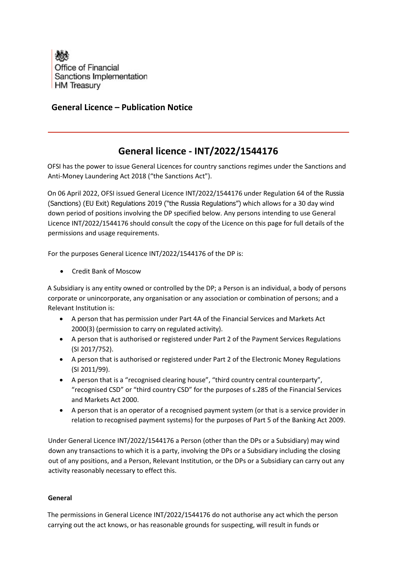

## **General Licence – Publication Notice**

## **General licence - INT/2022/1544176**

OFSI has the power to issue General Licences for country sanctions regimes under the Sanctions and Anti-Money Laundering Act 2018 ("the Sanctions Act").

On 06 April 2022, OFSI issued General Licence INT/2022/1544176 under Regulation 64 of the Russia (Sanctions) (EU Exit) Regulations 2019 ("the Russia Regulations") which allows for a 30 day wind down period of positions involving the DP specified below. Any persons intending to use General Licence INT/2022/1544176 should consult the copy of the Licence on this page for full details of the permissions and usage requirements.

For the purposes General Licence INT/2022/1544176 of the DP is:

• Credit Bank of Moscow

A Subsidiary is any entity owned or controlled by the DP; a Person is an individual, a body of persons corporate or unincorporate, any organisation or any association or combination of persons; and a Relevant Institution is:

- A person that has permission under Part 4A of the Financial Services and Markets Act 2000(3) (permission to carry on regulated activity).
- A person that is authorised or registered under Part 2 of the Payment Services Regulations (SI 2017/752).
- A person that is authorised or registered under Part 2 of the Electronic Money Regulations (SI 2011/99).
- A person that is a "recognised clearing house", "third country central counterparty", "recognised CSD" or "third country CSD" for the purposes of s.285 of the Financial Services and Markets Act 2000.
- A person that is an operator of a recognised payment system (or that is a service provider in relation to recognised payment systems) for the purposes of Part 5 of the Banking Act 2009.

Under General Licence INT/2022/1544176 a Person (other than the DPs or a Subsidiary) may wind down any transactions to which it is a party, involving the DPs or a Subsidiary including the closing out of any positions, and a Person, Relevant Institution, or the DPs or a Subsidiary can carry out any activity reasonably necessary to effect this.

## **General**

The permissions in General Licence INT/2022/1544176 do not authorise any act which the person carrying out the act knows, or has reasonable grounds for suspecting, will result in funds or